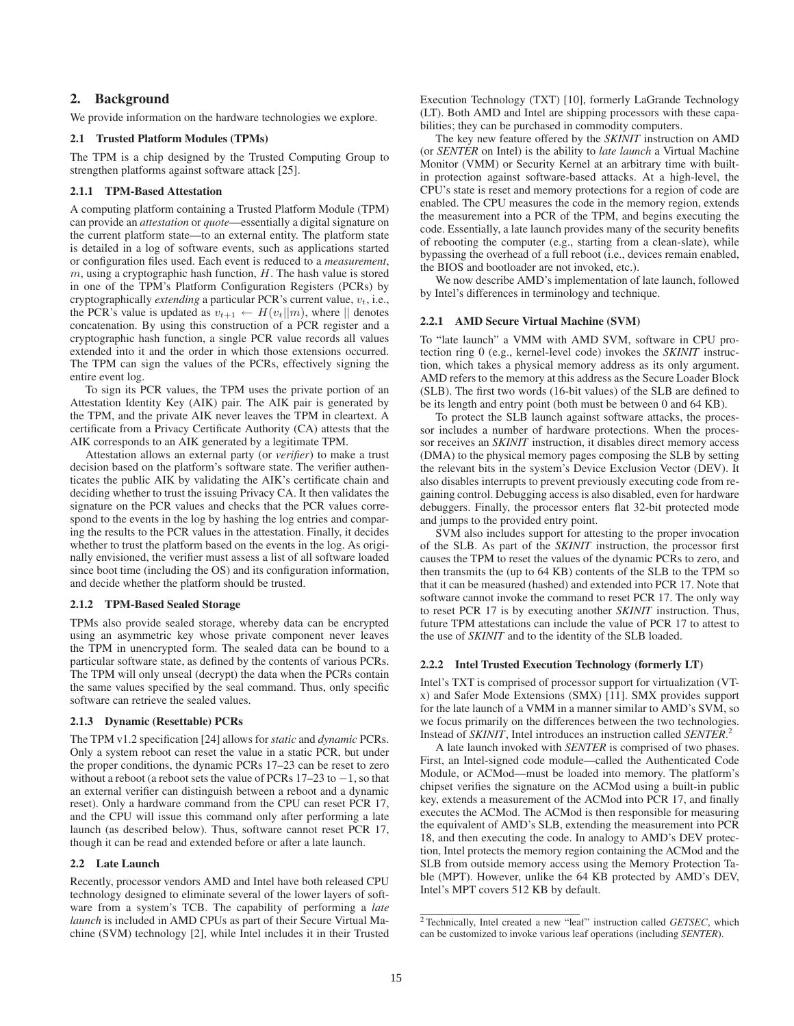# **2. Background**

We provide information on the hardware technologies we explore.

#### **2.1 Trusted Platform Modules (TPMs)**

The TPM is a chip designed by the Trusted Computing Group to strengthen platforms against software attack [25].

## **2.1.1 TPM-Based Attestation**

A computing platform containing a Trusted Platform Module (TPM) can provide an *attestation* or *quote*—essentially a digital signature on the current platform state—to an external entity. The platform state is detailed in a log of software events, such as applications started or configuration files used. Each event is reduced to a *measurement*, m, using a cryptographic hash function,  $H$ . The hash value is stored in one of the TPM's Platform Configuration Registers (PCRs) by cryptographically *extending* a particular PCR's current value, v*t*, i.e., the PCR's value is updated as  $v_{t+1} \leftarrow H(v_t || m)$ , where  $||$  denotes concatenation. By using this construction of a PCR register and a cryptographic hash function, a single PCR value records all values extended into it and the order in which those extensions occurred. The TPM can sign the values of the PCRs, effectively signing the entire event log.

To sign its PCR values, the TPM uses the private portion of an Attestation Identity Key (AIK) pair. The AIK pair is generated by the TPM, and the private AIK never leaves the TPM in cleartext. A certificate from a Privacy Certificate Authority (CA) attests that the AIK corresponds to an AIK generated by a legitimate TPM.

Attestation allows an external party (or *verifier*) to make a trust decision based on the platform's software state. The verifier authenticates the public AIK by validating the AIK's certificate chain and deciding whether to trust the issuing Privacy CA. It then validates the signature on the PCR values and checks that the PCR values correspond to the events in the log by hashing the log entries and comparing the results to the PCR values in the attestation. Finally, it decides whether to trust the platform based on the events in the log. As originally envisioned, the verifier must assess a list of all software loaded since boot time (including the OS) and its configuration information, and decide whether the platform should be trusted.

#### **2.1.2 TPM-Based Sealed Storage**

TPMs also provide sealed storage, whereby data can be encrypted using an asymmetric key whose private component never leaves the TPM in unencrypted form. The sealed data can be bound to a particular software state, as defined by the contents of various PCRs. The TPM will only unseal (decrypt) the data when the PCRs contain the same values specified by the seal command. Thus, only specific software can retrieve the sealed values.

#### **2.1.3 Dynamic (Resettable) PCRs**

The TPM v1.2 specification [24] allows for *static* and *dynamic* PCRs. Only a system reboot can reset the value in a static PCR, but under the proper conditions, the dynamic PCRs 17–23 can be reset to zero without a reboot (a reboot sets the value of PCRs  $17–23$  to  $-1$ , so that an external verifier can distinguish between a reboot and a dynamic reset). Only a hardware command from the CPU can reset PCR 17, and the CPU will issue this command only after performing a late launch (as described below). Thus, software cannot reset PCR 17, though it can be read and extended before or after a late launch.

#### **2.2 Late Launch**

Recently, processor vendors AMD and Intel have both released CPU technology designed to eliminate several of the lower layers of software from a system's TCB. The capability of performing a *late launch* is included in AMD CPUs as part of their Secure Virtual Machine (SVM) technology [2], while Intel includes it in their Trusted Execution Technology (TXT) [10], formerly LaGrande Technology (LT). Both AMD and Intel are shipping processors with these capabilities; they can be purchased in commodity computers.

The key new feature offered by the *SKINIT* instruction on AMD (or *SENTER* on Intel) is the ability to *late launch* a Virtual Machine Monitor (VMM) or Security Kernel at an arbitrary time with builtin protection against software-based attacks. At a high-level, the CPU's state is reset and memory protections for a region of code are enabled. The CPU measures the code in the memory region, extends the measurement into a PCR of the TPM, and begins executing the code. Essentially, a late launch provides many of the security benefits of rebooting the computer (e.g., starting from a clean-slate), while bypassing the overhead of a full reboot (i.e., devices remain enabled, the BIOS and bootloader are not invoked, etc.).

We now describe AMD's implementation of late launch, followed by Intel's differences in terminology and technique.

#### **2.2.1 AMD Secure Virtual Machine (SVM)**

To "late launch" a VMM with AMD SVM, software in CPU protection ring 0 (e.g., kernel-level code) invokes the *SKINIT* instruction, which takes a physical memory address as its only argument. AMD refers to the memory at this address as the Secure Loader Block (SLB). The first two words (16-bit values) of the SLB are defined to be its length and entry point (both must be between 0 and 64 KB).

To protect the SLB launch against software attacks, the processor includes a number of hardware protections. When the processor receives an *SKINIT* instruction, it disables direct memory access (DMA) to the physical memory pages composing the SLB by setting the relevant bits in the system's Device Exclusion Vector (DEV). It also disables interrupts to prevent previously executing code from regaining control. Debugging access is also disabled, even for hardware debuggers. Finally, the processor enters flat 32-bit protected mode and jumps to the provided entry point.

SVM also includes support for attesting to the proper invocation of the SLB. As part of the *SKINIT* instruction, the processor first causes the TPM to reset the values of the dynamic PCRs to zero, and then transmits the (up to 64 KB) contents of the SLB to the TPM so that it can be measured (hashed) and extended into PCR 17. Note that software cannot invoke the command to reset PCR 17. The only way to reset PCR 17 is by executing another *SKINIT* instruction. Thus, future TPM attestations can include the value of PCR 17 to attest to the use of *SKINIT* and to the identity of the SLB loaded.

#### **2.2.2 Intel Trusted Execution Technology (formerly LT)**

Intel's TXT is comprised of processor support for virtualization (VTx) and Safer Mode Extensions (SMX) [11]. SMX provides support for the late launch of a VMM in a manner similar to AMD's SVM, so we focus primarily on the differences between the two technologies. Instead of *SKINIT*, Intel introduces an instruction called *SENTER*. 2

A late launch invoked with *SENTER* is comprised of two phases. First, an Intel-signed code module—called the Authenticated Code Module, or ACMod—must be loaded into memory. The platform's chipset verifies the signature on the ACMod using a built-in public key, extends a measurement of the ACMod into PCR 17, and finally executes the ACMod. The ACMod is then responsible for measuring the equivalent of AMD's SLB, extending the measurement into PCR 18, and then executing the code. In analogy to AMD's DEV protection, Intel protects the memory region containing the ACMod and the SLB from outside memory access using the Memory Protection Table (MPT). However, unlike the 64 KB protected by AMD's DEV, Intel's MPT covers 512 KB by default.

<sup>2</sup> Technically, Intel created a new "leaf" instruction called *GETSEC*, which can be customized to invoke various leaf operations (including *SENTER*).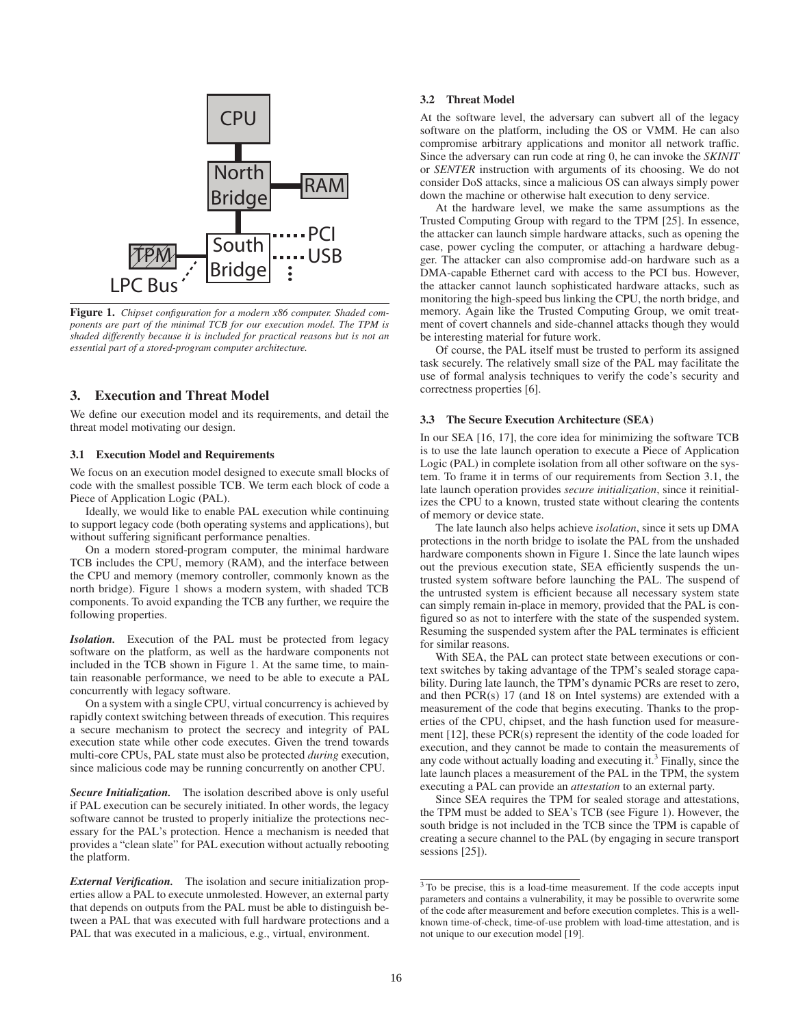

**Figure 1.** *Chipset configuration for a modern x86 computer. Shaded components are part of the minimal TCB for our execution model. The TPM is shaded differently because it is included for practical reasons but is not an essential part of a stored-program computer architecture.*

# **3. Execution and Threat Model**

We define our execution model and its requirements, and detail the threat model motivating our design.

## **3.1 Execution Model and Requirements**

We focus on an execution model designed to execute small blocks of code with the smallest possible TCB. We term each block of code a Piece of Application Logic (PAL).

Ideally, we would like to enable PAL execution while continuing to support legacy code (both operating systems and applications), but without suffering significant performance penalties.

On a modern stored-program computer, the minimal hardware TCB includes the CPU, memory (RAM), and the interface between the CPU and memory (memory controller, commonly known as the north bridge). Figure 1 shows a modern system, with shaded TCB components. To avoid expanding the TCB any further, we require the following properties.

*Isolation.* Execution of the PAL must be protected from legacy software on the platform, as well as the hardware components not included in the TCB shown in Figure 1. At the same time, to maintain reasonable performance, we need to be able to execute a PAL concurrently with legacy software.

On a system with a single CPU, virtual concurrency is achieved by rapidly context switching between threads of execution. This requires a secure mechanism to protect the secrecy and integrity of PAL execution state while other code executes. Given the trend towards multi-core CPUs, PAL state must also be protected *during* execution, since malicious code may be running concurrently on another CPU.

*Secure Initialization.* The isolation described above is only useful if PAL execution can be securely initiated. In other words, the legacy software cannot be trusted to properly initialize the protections necessary for the PAL's protection. Hence a mechanism is needed that provides a "clean slate" for PAL execution without actually rebooting the platform.

*External Verification.* The isolation and secure initialization properties allow a PAL to execute unmolested. However, an external party that depends on outputs from the PAL must be able to distinguish between a PAL that was executed with full hardware protections and a PAL that was executed in a malicious, e.g., virtual, environment.

# **3.2 Threat Model**

At the software level, the adversary can subvert all of the legacy software on the platform, including the OS or VMM. He can also compromise arbitrary applications and monitor all network traffic. Since the adversary can run code at ring 0, he can invoke the *SKINIT* or *SENTER* instruction with arguments of its choosing. We do not consider DoS attacks, since a malicious OS can always simply power down the machine or otherwise halt execution to deny service.

At the hardware level, we make the same assumptions as the Trusted Computing Group with regard to the TPM [25]. In essence, the attacker can launch simple hardware attacks, such as opening the case, power cycling the computer, or attaching a hardware debugger. The attacker can also compromise add-on hardware such as a DMA-capable Ethernet card with access to the PCI bus. However, the attacker cannot launch sophisticated hardware attacks, such as monitoring the high-speed bus linking the CPU, the north bridge, and memory. Again like the Trusted Computing Group, we omit treatment of covert channels and side-channel attacks though they would be interesting material for future work.

Of course, the PAL itself must be trusted to perform its assigned task securely. The relatively small size of the PAL may facilitate the use of formal analysis techniques to verify the code's security and correctness properties [6].

#### **3.3 The Secure Execution Architecture (SEA)**

In our SEA [16, 17], the core idea for minimizing the software TCB is to use the late launch operation to execute a Piece of Application Logic (PAL) in complete isolation from all other software on the system. To frame it in terms of our requirements from Section 3.1, the late launch operation provides *secure initialization*, since it reinitializes the CPU to a known, trusted state without clearing the contents of memory or device state.

The late launch also helps achieve *isolation*, since it sets up DMA protections in the north bridge to isolate the PAL from the unshaded hardware components shown in Figure 1. Since the late launch wipes out the previous execution state, SEA efficiently suspends the untrusted system software before launching the PAL. The suspend of the untrusted system is efficient because all necessary system state can simply remain in-place in memory, provided that the PAL is configured so as not to interfere with the state of the suspended system. Resuming the suspended system after the PAL terminates is efficient for similar reasons.

With SEA, the PAL can protect state between executions or context switches by taking advantage of the TPM's sealed storage capability. During late launch, the TPM's dynamic PCRs are reset to zero, and then PCR(s) 17 (and 18 on Intel systems) are extended with a measurement of the code that begins executing. Thanks to the properties of the CPU, chipset, and the hash function used for measurement [12], these PCR(s) represent the identity of the code loaded for execution, and they cannot be made to contain the measurements of any code without actually loading and executing it.3 Finally, since the late launch places a measurement of the PAL in the TPM, the system executing a PAL can provide an *attestation* to an external party.

Since SEA requires the TPM for sealed storage and attestations, the TPM must be added to SEA's TCB (see Figure 1). However, the south bridge is not included in the TCB since the TPM is capable of creating a secure channel to the PAL (by engaging in secure transport sessions [25]).

<sup>3</sup> To be precise, this is a load-time measurement. If the code accepts input parameters and contains a vulnerability, it may be possible to overwrite some of the code after measurement and before execution completes. This is a wellknown time-of-check, time-of-use problem with load-time attestation, and is not unique to our execution model [19].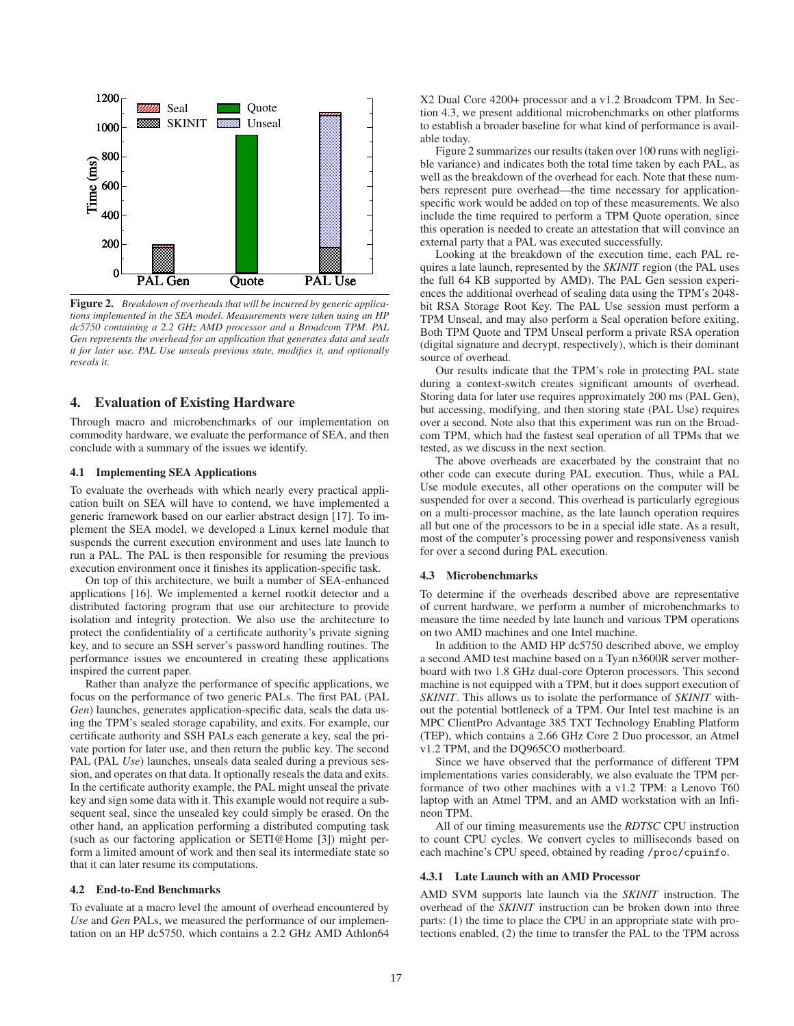

**Figure 2.** *Breakdown of overheads that will be incurred by generic applications implemented in the SEA model. Measurements were taken using an HP dc5750 containing a 2.2 GHz AMD processor and a Broadcom TPM. PAL Gen represents the overhead for an application that generates data and seals it for later use. PAL Use unseals previous state, modifies it, and optionally reseals it.*

# **4. Evaluation of Existing Hardware**

Through macro and microbenchmarks of our implementation on commodity hardware, we evaluate the performance of SEA, and then conclude with a summary of the issues we identify.

#### **4.1 Implementing SEA Applications**

To evaluate the overheads with which nearly every practical application built on SEA will have to contend, we have implemented a generic framework based on our earlier abstract design [17]. To implement the SEA model, we developed a Linux kernel module that suspends the current execution environment and uses late launch to run a PAL. The PAL is then responsible for resuming the previous execution environment once it finishes its application-specific task.

On top of this architecture, we built a number of SEA-enhanced applications [16]. We implemented a kernel rootkit detector and a distributed factoring program that use our architecture to provide isolation and integrity protection. We also use the architecture to protect the confidentiality of a certificate authority's private signing key, and to secure an SSH server's password handling routines. The performance issues we encountered in creating these applications inspired the current paper.

Rather than analyze the performance of specific applications, we focus on the performance of two generic PALs. The first PAL (PAL *Gen*) launches, generates application-specific data, seals the data using the TPM's sealed storage capability, and exits. For example, our certificate authority and SSH PALs each generate a key, seal the private portion for later use, and then return the public key. The second PAL (PAL *Use*) launches, unseals data sealed during a previous session, and operates on that data. It optionally reseals the data and exits. In the certificate authority example, the PAL might unseal the private key and sign some data with it. This example would not require a subsequent seal, since the unsealed key could simply be erased. On the other hand, an application performing a distributed computing task (such as our factoring application or SETI@Home [3]) might perform a limited amount of work and then seal its intermediate state so that it can later resume its computations.

#### **4.2 End-to-End Benchmarks**

To evaluate at a macro level the amount of overhead encountered by *Use* and *Gen* PALs, we measured the performance of our implementation on an HP dc5750, which contains a 2.2 GHz AMD Athlon64 X2 Dual Core 4200+ processor and a v1.2 Broadcom TPM. In Section 4.3, we present additional microbenchmarks on other platforms to establish a broader baseline for what kind of performance is available today.

Figure 2 summarizes our results (taken over 100 runs with negligible variance) and indicates both the total time taken by each PAL, as well as the breakdown of the overhead for each. Note that these numbers represent pure overhead—the time necessary for applicationspecific work would be added on top of these measurements. We also include the time required to perform a TPM Quote operation, since this operation is needed to create an attestation that will convince an external party that a PAL was executed successfully.

Looking at the breakdown of the execution time, each PAL requires a late launch, represented by the *SKINIT* region (the PAL uses the full 64 KB supported by AMD). The PAL Gen session experiences the additional overhead of sealing data using the TPM's 2048 bit RSA Storage Root Key. The PAL Use session must perform a TPM Unseal, and may also perform a Seal operation before exiting. Both TPM Quote and TPM Unseal perform a private RSA operation (digital signature and decrypt, respectively), which is their dominant source of overhead.

Our results indicate that the TPM's role in protecting PAL state during a context-switch creates significant amounts of overhead. Storing data for later use requires approximately 200 ms (PAL Gen), but accessing, modifying, and then storing state (PAL Use) requires over a second. Note also that this experiment was run on the Broadcom TPM, which had the fastest seal operation of all TPMs that we tested, as we discuss in the next section.

The above overheads are exacerbated by the constraint that no other code can execute during PAL execution. Thus, while a PAL Use module executes, all other operations on the computer will be suspended for over a second. This overhead is particularly egregious on a multi-processor machine, as the late launch operation requires all but one of the processors to be in a special idle state. As a result, most of the computer's processing power and responsiveness vanish for over a second during PAL execution.

#### **4.3 Microbenchmarks**

To determine if the overheads described above are representative of current hardware, we perform a number of microbenchmarks to measure the time needed by late launch and various TPM operations on two AMD machines and one Intel machine.

In addition to the AMD HP dc5750 described above, we employ a second AMD test machine based on a Tyan n3600R server motherboard with two 1.8 GHz dual-core Opteron processors. This second machine is not equipped with a TPM, but it does support execution of *SKINIT*. This allows us to isolate the performance of *SKINIT* without the potential bottleneck of a TPM. Our Intel test machine is an MPC ClientPro Advantage 385 TXT Technology Enabling Platform (TEP), which contains a 2.66 GHz Core 2 Duo processor, an Atmel v1.2 TPM, and the DQ965CO motherboard.

Since we have observed that the performance of different TPM implementations varies considerably, we also evaluate the TPM performance of two other machines with a v1.2 TPM: a Lenovo T60 laptop with an Atmel TPM, and an AMD workstation with an Infineon TPM.

All of our timing measurements use the *RDTSC* CPU instruction to count CPU cycles. We convert cycles to milliseconds based on each machine's CPU speed, obtained by reading /proc/cpuinfo.

#### **4.3.1 Late Launch with an AMD Processor**

AMD SVM supports late launch via the *SKINIT* instruction. The overhead of the *SKINIT* instruction can be broken down into three parts: (1) the time to place the CPU in an appropriate state with protections enabled, (2) the time to transfer the PAL to the TPM across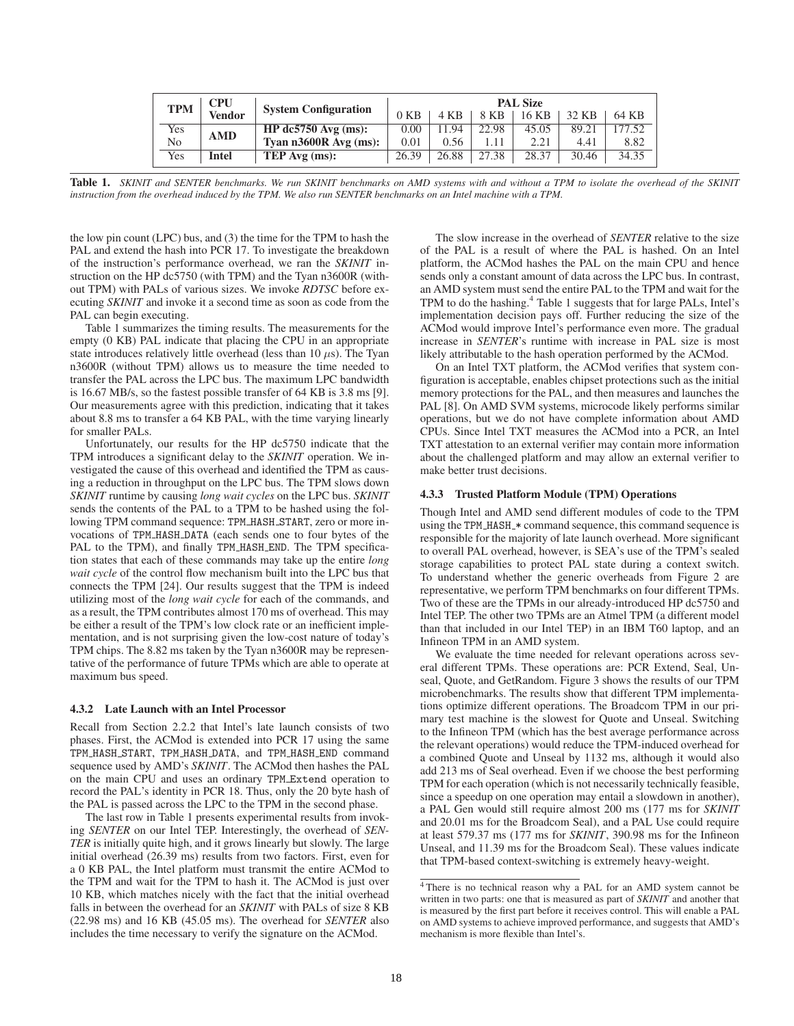| <b>TPM</b>     | CPU           | <b>System Configuration</b>      | <b>PAL Size</b> |       |       |       |       |        |
|----------------|---------------|----------------------------------|-----------------|-------|-------|-------|-------|--------|
|                | <b>Vendor</b> |                                  | $0$ KB          | 4 KB  | 8 KB  | 16 KB | 32 KB | 64 KB  |
| Yes            | <b>AMD</b>    | $\overline{HP}$ dc5750 Avg (ms): | 0.00            | 1.94  | 22.98 | 45.05 | 89.21 | 177.52 |
| N <sub>o</sub> |               | Tyan $n3600R$ Avg (ms):          | 0.01            | 0.56  |       | 2.21  | 4.41  | 8.82   |
| Yes            | Intel         | $\mathbf{TEP}$ Avg (ms):         | 26.39           | 26.88 | 27.38 | 28.37 | 30.46 | 34.35  |

**Table 1.** *SKINIT and SENTER benchmarks. We run SKINIT benchmarks on AMD systems with and without a TPM to isolate the overhead of the SKINIT instruction from the overhead induced by the TPM. We also run SENTER benchmarks on an Intel machine with a TPM.*

the low pin count (LPC) bus, and (3) the time for the TPM to hash the PAL and extend the hash into PCR 17. To investigate the breakdown of the instruction's performance overhead, we ran the *SKINIT* instruction on the HP dc5750 (with TPM) and the Tyan n3600R (without TPM) with PALs of various sizes. We invoke *RDTSC* before executing *SKINIT* and invoke it a second time as soon as code from the PAL can begin executing.

Table 1 summarizes the timing results. The measurements for the empty (0 KB) PAL indicate that placing the CPU in an appropriate state introduces relatively little overhead (less than  $10 \mu s$ ). The Tyan n3600R (without TPM) allows us to measure the time needed to transfer the PAL across the LPC bus. The maximum LPC bandwidth is 16.67 MB/s, so the fastest possible transfer of 64 KB is 3.8 ms [9]. Our measurements agree with this prediction, indicating that it takes about 8.8 ms to transfer a 64 KB PAL, with the time varying linearly for smaller PALs.

Unfortunately, our results for the HP dc5750 indicate that the TPM introduces a significant delay to the *SKINIT* operation. We investigated the cause of this overhead and identified the TPM as causing a reduction in throughput on the LPC bus. The TPM slows down *SKINIT* runtime by causing *long wait cycles* on the LPC bus. *SKINIT* sends the contents of the PAL to a TPM to be hashed using the following TPM command sequence: TPM HASH START, zero or more invocations of TPM HASH DATA (each sends one to four bytes of the PAL to the TPM), and finally TPM\_HASH\_END. The TPM specification states that each of these commands may take up the entire *long wait cycle* of the control flow mechanism built into the LPC bus that connects the TPM [24]. Our results suggest that the TPM is indeed utilizing most of the *long wait cycle* for each of the commands, and as a result, the TPM contributes almost 170 ms of overhead. This may be either a result of the TPM's low clock rate or an inefficient implementation, and is not surprising given the low-cost nature of today's TPM chips. The 8.82 ms taken by the Tyan n3600R may be representative of the performance of future TPMs which are able to operate at maximum bus speed.

#### **4.3.2 Late Launch with an Intel Processor**

Recall from Section 2.2.2 that Intel's late launch consists of two phases. First, the ACMod is extended into PCR 17 using the same TPM HASH START, TPM HASH DATA, and TPM HASH END command sequence used by AMD's *SKINIT*. The ACMod then hashes the PAL on the main CPU and uses an ordinary TPM Extend operation to record the PAL's identity in PCR 18. Thus, only the 20 byte hash of the PAL is passed across the LPC to the TPM in the second phase.

The last row in Table 1 presents experimental results from invoking *SENTER* on our Intel TEP. Interestingly, the overhead of *SEN-TER* is initially quite high, and it grows linearly but slowly. The large initial overhead (26.39 ms) results from two factors. First, even for a 0 KB PAL, the Intel platform must transmit the entire ACMod to the TPM and wait for the TPM to hash it. The ACMod is just over 10 KB, which matches nicely with the fact that the initial overhead falls in between the overhead for an *SKINIT* with PALs of size 8 KB (22.98 ms) and 16 KB (45.05 ms). The overhead for *SENTER* also includes the time necessary to verify the signature on the ACMod.

The slow increase in the overhead of *SENTER* relative to the size of the PAL is a result of where the PAL is hashed. On an Intel platform, the ACMod hashes the PAL on the main CPU and hence sends only a constant amount of data across the LPC bus. In contrast, an AMD system must send the entire PAL to the TPM and wait for the TPM to do the hashing.<sup>4</sup> Table 1 suggests that for large PALs, Intel's implementation decision pays off. Further reducing the size of the ACMod would improve Intel's performance even more. The gradual increase in *SENTER*'s runtime with increase in PAL size is most likely attributable to the hash operation performed by the ACMod.

On an Intel TXT platform, the ACMod verifies that system configuration is acceptable, enables chipset protections such as the initial memory protections for the PAL, and then measures and launches the PAL [8]. On AMD SVM systems, microcode likely performs similar operations, but we do not have complete information about AMD CPUs. Since Intel TXT measures the ACMod into a PCR, an Intel TXT attestation to an external verifier may contain more information about the challenged platform and may allow an external verifier to make better trust decisions.

## **4.3.3 Trusted Platform Module (TPM) Operations**

Though Intel and AMD send different modules of code to the TPM using the TPM\_HASH\_\* command sequence, this command sequence is responsible for the majority of late launch overhead. More significant to overall PAL overhead, however, is SEA's use of the TPM's sealed storage capabilities to protect PAL state during a context switch. To understand whether the generic overheads from Figure 2 are representative, we perform TPM benchmarks on four different TPMs. Two of these are the TPMs in our already-introduced HP dc5750 and Intel TEP. The other two TPMs are an Atmel TPM (a different model than that included in our Intel TEP) in an IBM T60 laptop, and an Infineon TPM in an AMD system.

We evaluate the time needed for relevant operations across several different TPMs. These operations are: PCR Extend, Seal, Unseal, Quote, and GetRandom. Figure 3 shows the results of our TPM microbenchmarks. The results show that different TPM implementations optimize different operations. The Broadcom TPM in our primary test machine is the slowest for Quote and Unseal. Switching to the Infineon TPM (which has the best average performance across the relevant operations) would reduce the TPM-induced overhead for a combined Quote and Unseal by 1132 ms, although it would also add 213 ms of Seal overhead. Even if we choose the best performing TPM for each operation (which is not necessarily technically feasible, since a speedup on one operation may entail a slowdown in another), a PAL Gen would still require almost 200 ms (177 ms for *SKINIT* and 20.01 ms for the Broadcom Seal), and a PAL Use could require at least 579.37 ms (177 ms for *SKINIT*, 390.98 ms for the Infineon Unseal, and 11.39 ms for the Broadcom Seal). These values indicate that TPM-based context-switching is extremely heavy-weight.

<sup>4</sup> There is no technical reason why a PAL for an AMD system cannot be written in two parts: one that is measured as part of *SKINIT* and another that is measured by the first part before it receives control. This will enable a PAL on AMD systems to achieve improved performance, and suggests that AMD's mechanism is more flexible than Intel's.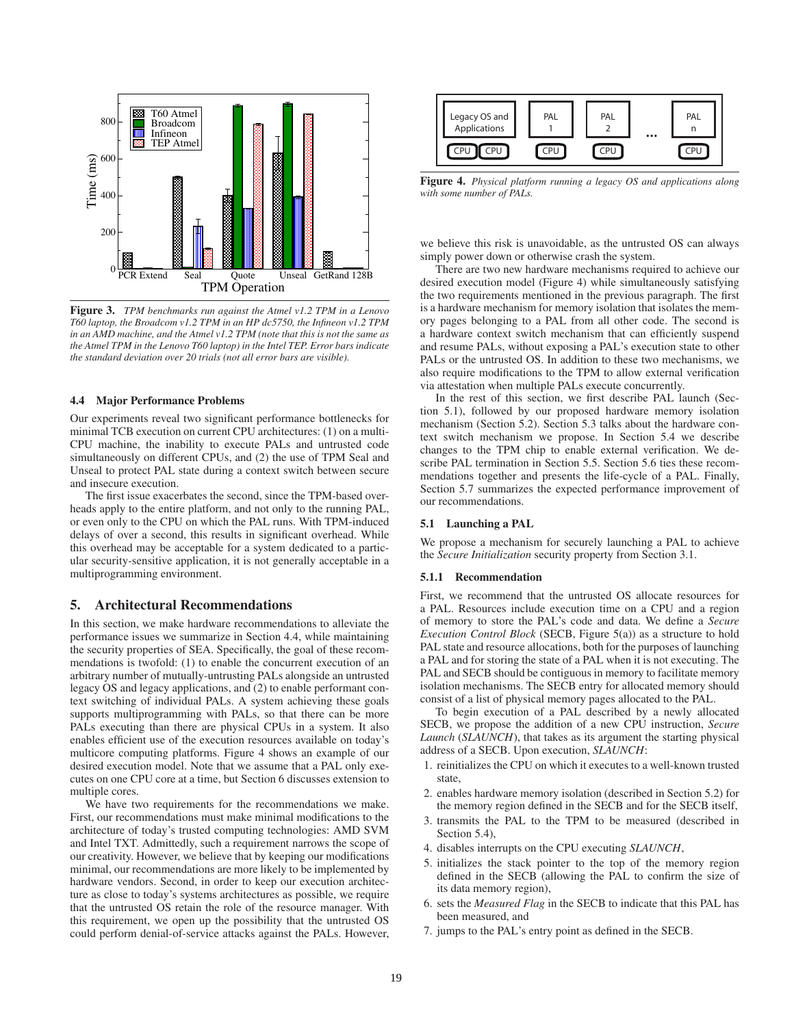

**Figure 3.** *TPM benchmarks run against the Atmel v1.2 TPM in a Lenovo T60 laptop, the Broadcom v1.2 TPM in an HP dc5750, the Infineon v1.2 TPM in an AMD machine, and the Atmel v1.2 TPM (note that this is not the same as the Atmel TPM in the Lenovo T60 laptop) in the Intel TEP. Error bars indicate the standard deviation over 20 trials (not all error bars are visible).*

#### **4.4 Major Performance Problems**

Our experiments reveal two significant performance bottlenecks for minimal TCB execution on current CPU architectures: (1) on a multi-CPU machine, the inability to execute PALs and untrusted code simultaneously on different CPUs, and (2) the use of TPM Seal and Unseal to protect PAL state during a context switch between secure and insecure execution.

The first issue exacerbates the second, since the TPM-based overheads apply to the entire platform, and not only to the running PAL, or even only to the CPU on which the PAL runs. With TPM-induced delays of over a second, this results in significant overhead. While this overhead may be acceptable for a system dedicated to a particular security-sensitive application, it is not generally acceptable in a multiprogramming environment.

## **5. Architectural Recommendations**

In this section, we make hardware recommendations to alleviate the performance issues we summarize in Section 4.4, while maintaining the security properties of SEA. Specifically, the goal of these recommendations is twofold: (1) to enable the concurrent execution of an arbitrary number of mutually-untrusting PALs alongside an untrusted legacy OS and legacy applications, and (2) to enable performant context switching of individual PALs. A system achieving these goals supports multiprogramming with PALs, so that there can be more PALs executing than there are physical CPUs in a system. It also enables efficient use of the execution resources available on today's multicore computing platforms. Figure 4 shows an example of our desired execution model. Note that we assume that a PAL only executes on one CPU core at a time, but Section 6 discusses extension to multiple cores.

We have two requirements for the recommendations we make. First, our recommendations must make minimal modifications to the architecture of today's trusted computing technologies: AMD SVM and Intel TXT. Admittedly, such a requirement narrows the scope of our creativity. However, we believe that by keeping our modifications minimal, our recommendations are more likely to be implemented by hardware vendors. Second, in order to keep our execution architecture as close to today's systems architectures as possible, we require that the untrusted OS retain the role of the resource manager. With this requirement, we open up the possibility that the untrusted OS could perform denial-of-service attacks against the PALs. However,



**Figure 4.** *Physical platform running a legacy OS and applications along with some number of PALs.*

we believe this risk is unavoidable, as the untrusted OS can always simply power down or otherwise crash the system.

There are two new hardware mechanisms required to achieve our desired execution model (Figure 4) while simultaneously satisfying the two requirements mentioned in the previous paragraph. The first is a hardware mechanism for memory isolation that isolates the memory pages belonging to a PAL from all other code. The second is a hardware context switch mechanism that can efficiently suspend and resume PALs, without exposing a PAL's execution state to other PALs or the untrusted OS. In addition to these two mechanisms, we also require modifications to the TPM to allow external verification via attestation when multiple PALs execute concurrently.

In the rest of this section, we first describe PAL launch (Section 5.1), followed by our proposed hardware memory isolation mechanism (Section 5.2). Section 5.3 talks about the hardware context switch mechanism we propose. In Section 5.4 we describe changes to the TPM chip to enable external verification. We describe PAL termination in Section 5.5. Section 5.6 ties these recommendations together and presents the life-cycle of a PAL. Finally, Section 5.7 summarizes the expected performance improvement of our recommendations.

#### **5.1 Launching a PAL**

We propose a mechanism for securely launching a PAL to achieve the *Secure Initialization* security property from Section 3.1.

#### **5.1.1 Recommendation**

First, we recommend that the untrusted OS allocate resources for a PAL. Resources include execution time on a CPU and a region of memory to store the PAL's code and data. We define a *Secure Execution Control Block* (SECB, Figure 5(a)) as a structure to hold PAL state and resource allocations, both for the purposes of launching a PAL and for storing the state of a PAL when it is not executing. The PAL and SECB should be contiguous in memory to facilitate memory isolation mechanisms. The SECB entry for allocated memory should consist of a list of physical memory pages allocated to the PAL.

To begin execution of a PAL described by a newly allocated SECB, we propose the addition of a new CPU instruction, *Secure Launch* (*SLAUNCH*), that takes as its argument the starting physical address of a SECB. Upon execution, *SLAUNCH*:

- 1. reinitializes the CPU on which it executes to a well-known trusted state,
- 2. enables hardware memory isolation (described in Section 5.2) for the memory region defined in the SECB and for the SECB itself,
- 3. transmits the PAL to the TPM to be measured (described in Section 5.4),
- 4. disables interrupts on the CPU executing *SLAUNCH*,
- 5. initializes the stack pointer to the top of the memory region defined in the SECB (allowing the PAL to confirm the size of its data memory region),
- 6. sets the *Measured Flag* in the SECB to indicate that this PAL has been measured, and
- 7. jumps to the PAL's entry point as defined in the SECB.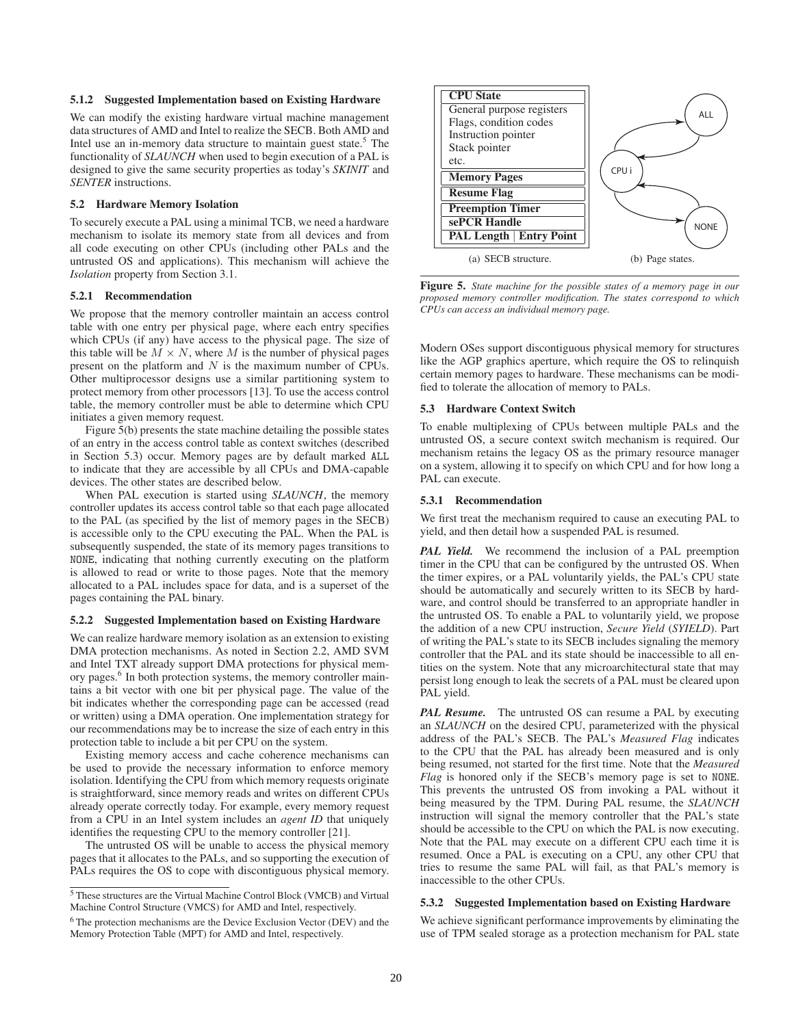#### **5.1.2 Suggested Implementation based on Existing Hardware**

We can modify the existing hardware virtual machine management data structures of AMD and Intel to realize the SECB. Both AMD and Intel use an in-memory data structure to maintain guest state.<sup>5</sup> The functionality of *SLAUNCH* when used to begin execution of a PAL is designed to give the same security properties as today's *SKINIT* and *SENTER* instructions.

#### **5.2 Hardware Memory Isolation**

To securely execute a PAL using a minimal TCB, we need a hardware mechanism to isolate its memory state from all devices and from all code executing on other CPUs (including other PALs and the untrusted OS and applications). This mechanism will achieve the *Isolation* property from Section 3.1.

## **5.2.1 Recommendation**

We propose that the memory controller maintain an access control table with one entry per physical page, where each entry specifies which CPUs (if any) have access to the physical page. The size of this table will be  $M \times N$ , where M is the number of physical pages present on the platform and N is the maximum number of CPUs. Other multiprocessor designs use a similar partitioning system to protect memory from other processors [13]. To use the access control table, the memory controller must be able to determine which CPU initiates a given memory request.

Figure 5(b) presents the state machine detailing the possible states of an entry in the access control table as context switches (described in Section 5.3) occur. Memory pages are by default marked ALL to indicate that they are accessible by all CPUs and DMA-capable devices. The other states are described below.

When PAL execution is started using *SLAUNCH*, the memory controller updates its access control table so that each page allocated to the PAL (as specified by the list of memory pages in the SECB) is accessible only to the CPU executing the PAL. When the PAL is subsequently suspended, the state of its memory pages transitions to NONE, indicating that nothing currently executing on the platform is allowed to read or write to those pages. Note that the memory allocated to a PAL includes space for data, and is a superset of the pages containing the PAL binary.

#### **5.2.2 Suggested Implementation based on Existing Hardware**

We can realize hardware memory isolation as an extension to existing DMA protection mechanisms. As noted in Section 2.2, AMD SVM and Intel TXT already support DMA protections for physical memory pages.<sup>6</sup> In both protection systems, the memory controller maintains a bit vector with one bit per physical page. The value of the bit indicates whether the corresponding page can be accessed (read or written) using a DMA operation. One implementation strategy for our recommendations may be to increase the size of each entry in this protection table to include a bit per CPU on the system.

Existing memory access and cache coherence mechanisms can be used to provide the necessary information to enforce memory isolation. Identifying the CPU from which memory requests originate is straightforward, since memory reads and writes on different CPUs already operate correctly today. For example, every memory request from a CPU in an Intel system includes an *agent ID* that uniquely identifies the requesting CPU to the memory controller [21].

The untrusted OS will be unable to access the physical memory pages that it allocates to the PALs, and so supporting the execution of PALs requires the OS to cope with discontiguous physical memory.



**Figure 5.** *State machine for the possible states of a memory page in our proposed memory controller modification. The states correspond to which CPUs can access an individual memory page.*

Modern OSes support discontiguous physical memory for structures like the AGP graphics aperture, which require the OS to relinquish certain memory pages to hardware. These mechanisms can be modified to tolerate the allocation of memory to PALs.

#### **5.3 Hardware Context Switch**

To enable multiplexing of CPUs between multiple PALs and the untrusted OS, a secure context switch mechanism is required. Our mechanism retains the legacy OS as the primary resource manager on a system, allowing it to specify on which CPU and for how long a PAL can execute.

#### **5.3.1 Recommendation**

We first treat the mechanism required to cause an executing PAL to yield, and then detail how a suspended PAL is resumed.

*PAL Yield.* We recommend the inclusion of a PAL preemption timer in the CPU that can be configured by the untrusted OS. When the timer expires, or a PAL voluntarily yields, the PAL's CPU state should be automatically and securely written to its SECB by hardware, and control should be transferred to an appropriate handler in the untrusted OS. To enable a PAL to voluntarily yield, we propose the addition of a new CPU instruction, *Secure Yield* (*SYIELD*). Part of writing the PAL's state to its SECB includes signaling the memory controller that the PAL and its state should be inaccessible to all entities on the system. Note that any microarchitectural state that may persist long enough to leak the secrets of a PAL must be cleared upon PAL yield.

PAL Resume. The untrusted OS can resume a PAL by executing an *SLAUNCH* on the desired CPU, parameterized with the physical address of the PAL's SECB. The PAL's *Measured Flag* indicates to the CPU that the PAL has already been measured and is only being resumed, not started for the first time. Note that the *Measured Flag* is honored only if the SECB's memory page is set to NONE. This prevents the untrusted OS from invoking a PAL without it being measured by the TPM. During PAL resume, the *SLAUNCH* instruction will signal the memory controller that the PAL's state should be accessible to the CPU on which the PAL is now executing. Note that the PAL may execute on a different CPU each time it is resumed. Once a PAL is executing on a CPU, any other CPU that tries to resume the same PAL will fail, as that PAL's memory is inaccessible to the other CPUs.

## **5.3.2 Suggested Implementation based on Existing Hardware**

We achieve significant performance improvements by eliminating the use of TPM sealed storage as a protection mechanism for PAL state

<sup>5</sup> These structures are the Virtual Machine Control Block (VMCB) and Virtual Machine Control Structure (VMCS) for AMD and Intel, respectively.

<sup>6</sup> The protection mechanisms are the Device Exclusion Vector (DEV) and the Memory Protection Table (MPT) for AMD and Intel, respectively.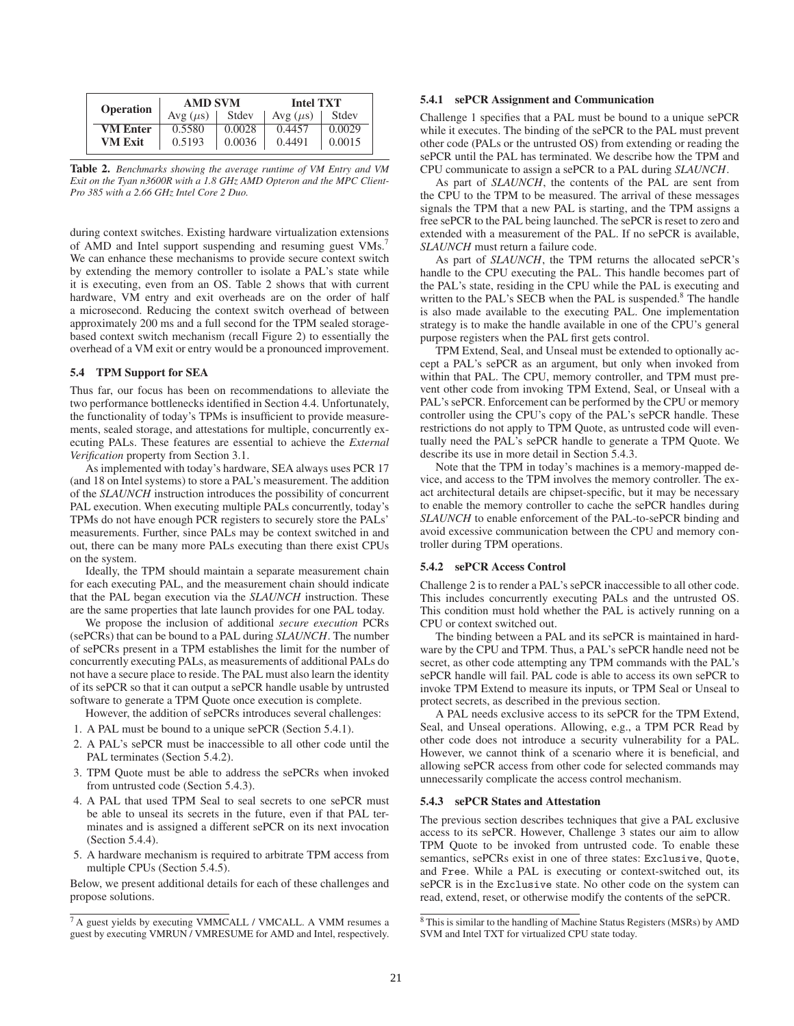| <b>Operation</b> | <b>AMD SVM</b> |        | <b>Intel TXT</b> |        |  |
|------------------|----------------|--------|------------------|--------|--|
|                  | Avg $(\mu s)$  | Stdev  | Avg $(\mu s)$    | Stdev  |  |
| <b>VM Enter</b>  | 0.5580         | 0.0028 | 0.4457           | 0.0029 |  |
| <b>VM Exit</b>   | 0.5193         | 0.0036 | 0.4491           | 0.0015 |  |

**Table 2.** *Benchmarks showing the average runtime of VM Entry and VM Exit on the Tyan n3600R with a 1.8 GHz AMD Opteron and the MPC Client-Pro 385 with a 2.66 GHz Intel Core 2 Duo.*

during context switches. Existing hardware virtualization extensions of AMD and Intel support suspending and resuming guest VMs.<sup>7</sup> We can enhance these mechanisms to provide secure context switch by extending the memory controller to isolate a PAL's state while it is executing, even from an OS. Table 2 shows that with current hardware, VM entry and exit overheads are on the order of half a microsecond. Reducing the context switch overhead of between approximately 200 ms and a full second for the TPM sealed storagebased context switch mechanism (recall Figure 2) to essentially the overhead of a VM exit or entry would be a pronounced improvement.

#### **5.4 TPM Support for SEA**

Thus far, our focus has been on recommendations to alleviate the two performance bottlenecks identified in Section 4.4. Unfortunately, the functionality of today's TPMs is insufficient to provide measurements, sealed storage, and attestations for multiple, concurrently executing PALs. These features are essential to achieve the *External Verification* property from Section 3.1.

As implemented with today's hardware, SEA always uses PCR 17 (and 18 on Intel systems) to store a PAL's measurement. The addition of the *SLAUNCH* instruction introduces the possibility of concurrent PAL execution. When executing multiple PALs concurrently, today's TPMs do not have enough PCR registers to securely store the PALs' measurements. Further, since PALs may be context switched in and out, there can be many more PALs executing than there exist CPUs on the system.

Ideally, the TPM should maintain a separate measurement chain for each executing PAL, and the measurement chain should indicate that the PAL began execution via the *SLAUNCH* instruction. These are the same properties that late launch provides for one PAL today.

We propose the inclusion of additional *secure execution* PCRs (sePCRs) that can be bound to a PAL during *SLAUNCH*. The number of sePCRs present in a TPM establishes the limit for the number of concurrently executing PALs, as measurements of additional PALs do not have a secure place to reside. The PAL must also learn the identity of its sePCR so that it can output a sePCR handle usable by untrusted software to generate a TPM Quote once execution is complete.

However, the addition of sePCRs introduces several challenges:

- 1. A PAL must be bound to a unique sePCR (Section 5.4.1).
- 2. A PAL's sePCR must be inaccessible to all other code until the PAL terminates (Section 5.4.2).
- 3. TPM Quote must be able to address the sePCRs when invoked from untrusted code (Section 5.4.3).
- 4. A PAL that used TPM Seal to seal secrets to one sePCR must be able to unseal its secrets in the future, even if that PAL terminates and is assigned a different sePCR on its next invocation (Section 5.4.4).
- 5. A hardware mechanism is required to arbitrate TPM access from multiple CPUs (Section 5.4.5).

Below, we present additional details for each of these challenges and propose solutions.

## **5.4.1 sePCR Assignment and Communication**

Challenge 1 specifies that a PAL must be bound to a unique sePCR while it executes. The binding of the sePCR to the PAL must prevent other code (PALs or the untrusted OS) from extending or reading the sePCR until the PAL has terminated. We describe how the TPM and CPU communicate to assign a sePCR to a PAL during *SLAUNCH*.

As part of *SLAUNCH*, the contents of the PAL are sent from the CPU to the TPM to be measured. The arrival of these messages signals the TPM that a new PAL is starting, and the TPM assigns a free sePCR to the PAL being launched. The sePCR is reset to zero and extended with a measurement of the PAL. If no sePCR is available, *SLAUNCH* must return a failure code.

As part of *SLAUNCH*, the TPM returns the allocated sePCR's handle to the CPU executing the PAL. This handle becomes part of the PAL's state, residing in the CPU while the PAL is executing and written to the PAL's SECB when the PAL is suspended.<sup>8</sup> The handle is also made available to the executing PAL. One implementation strategy is to make the handle available in one of the CPU's general purpose registers when the PAL first gets control.

TPM Extend, Seal, and Unseal must be extended to optionally accept a PAL's sePCR as an argument, but only when invoked from within that PAL. The CPU, memory controller, and TPM must prevent other code from invoking TPM Extend, Seal, or Unseal with a PAL's sePCR. Enforcement can be performed by the CPU or memory controller using the CPU's copy of the PAL's sePCR handle. These restrictions do not apply to TPM Quote, as untrusted code will eventually need the PAL's sePCR handle to generate a TPM Quote. We describe its use in more detail in Section 5.4.3.

Note that the TPM in today's machines is a memory-mapped device, and access to the TPM involves the memory controller. The exact architectural details are chipset-specific, but it may be necessary to enable the memory controller to cache the sePCR handles during *SLAUNCH* to enable enforcement of the PAL-to-sePCR binding and avoid excessive communication between the CPU and memory controller during TPM operations.

## **5.4.2 sePCR Access Control**

Challenge 2 is to render a PAL's sePCR inaccessible to all other code. This includes concurrently executing PALs and the untrusted OS. This condition must hold whether the PAL is actively running on a CPU or context switched out.

The binding between a PAL and its sePCR is maintained in hardware by the CPU and TPM. Thus, a PAL's sePCR handle need not be secret, as other code attempting any TPM commands with the PAL's sePCR handle will fail. PAL code is able to access its own sePCR to invoke TPM Extend to measure its inputs, or TPM Seal or Unseal to protect secrets, as described in the previous section.

A PAL needs exclusive access to its sePCR for the TPM Extend, Seal, and Unseal operations. Allowing, e.g., a TPM PCR Read by other code does not introduce a security vulnerability for a PAL. However, we cannot think of a scenario where it is beneficial, and allowing sePCR access from other code for selected commands may unnecessarily complicate the access control mechanism.

#### **5.4.3 sePCR States and Attestation**

The previous section describes techniques that give a PAL exclusive access to its sePCR. However, Challenge 3 states our aim to allow TPM Quote to be invoked from untrusted code. To enable these semantics, sePCRs exist in one of three states: Exclusive, Quote, and Free. While a PAL is executing or context-switched out, its sePCR is in the Exclusive state. No other code on the system can read, extend, reset, or otherwise modify the contents of the sePCR.

<sup>7</sup> A guest yields by executing VMMCALL / VMCALL. A VMM resumes a guest by executing VMRUN / VMRESUME for AMD and Intel, respectively.

<sup>8</sup> This is similar to the handling of Machine Status Registers (MSRs) by AMD SVM and Intel TXT for virtualized CPU state today.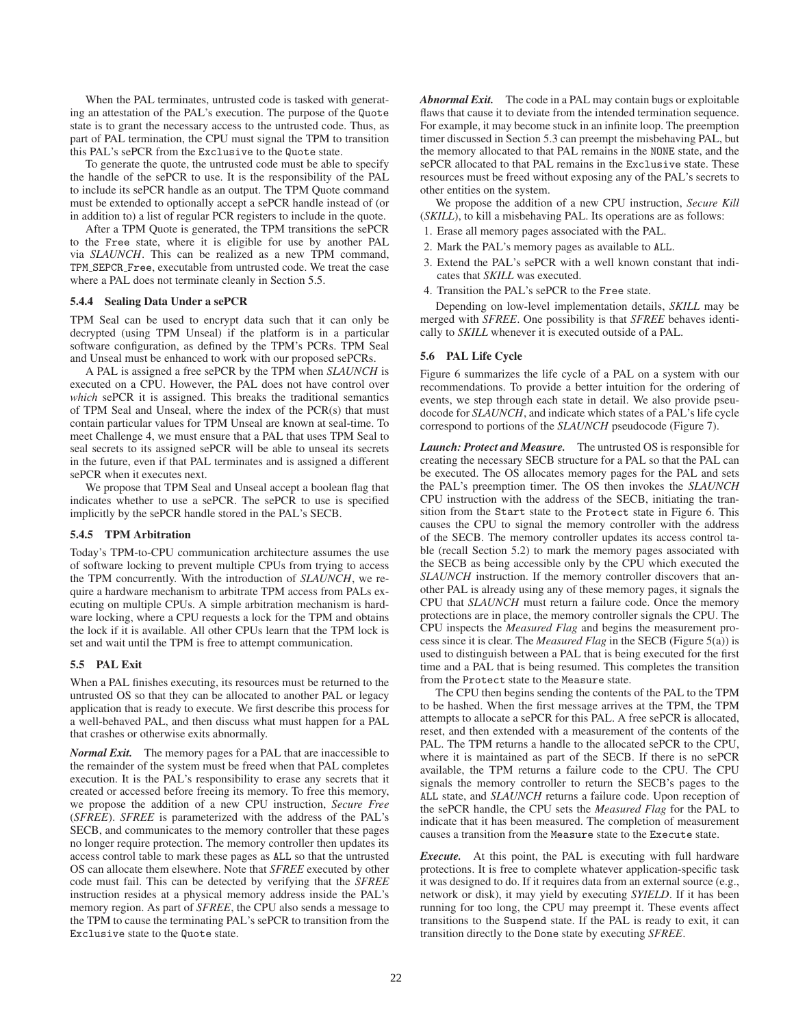When the PAL terminates, untrusted code is tasked with generating an attestation of the PAL's execution. The purpose of the Quote state is to grant the necessary access to the untrusted code. Thus, as part of PAL termination, the CPU must signal the TPM to transition this PAL's sePCR from the Exclusive to the Quote state.

To generate the quote, the untrusted code must be able to specify the handle of the sePCR to use. It is the responsibility of the PAL to include its sePCR handle as an output. The TPM Quote command must be extended to optionally accept a sePCR handle instead of (or in addition to) a list of regular PCR registers to include in the quote.

After a TPM Quote is generated, the TPM transitions the sePCR to the Free state, where it is eligible for use by another PAL via *SLAUNCH*. This can be realized as a new TPM command, TPM SEPCR Free, executable from untrusted code. We treat the case where a PAL does not terminate cleanly in Section 5.5.

## **5.4.4 Sealing Data Under a sePCR**

TPM Seal can be used to encrypt data such that it can only be decrypted (using TPM Unseal) if the platform is in a particular software configuration, as defined by the TPM's PCRs. TPM Seal and Unseal must be enhanced to work with our proposed sePCRs.

A PAL is assigned a free sePCR by the TPM when *SLAUNCH* is executed on a CPU. However, the PAL does not have control over *which* sePCR it is assigned. This breaks the traditional semantics of TPM Seal and Unseal, where the index of the PCR(s) that must contain particular values for TPM Unseal are known at seal-time. To meet Challenge 4, we must ensure that a PAL that uses TPM Seal to seal secrets to its assigned sePCR will be able to unseal its secrets in the future, even if that PAL terminates and is assigned a different sePCR when it executes next.

We propose that TPM Seal and Unseal accept a boolean flag that indicates whether to use a sePCR. The sePCR to use is specified implicitly by the sePCR handle stored in the PAL's SECB.

# **5.4.5 TPM Arbitration**

Today's TPM-to-CPU communication architecture assumes the use of software locking to prevent multiple CPUs from trying to access the TPM concurrently. With the introduction of *SLAUNCH*, we require a hardware mechanism to arbitrate TPM access from PALs executing on multiple CPUs. A simple arbitration mechanism is hardware locking, where a CPU requests a lock for the TPM and obtains the lock if it is available. All other CPUs learn that the TPM lock is set and wait until the TPM is free to attempt communication.

## **5.5 PAL Exit**

When a PAL finishes executing, its resources must be returned to the untrusted OS so that they can be allocated to another PAL or legacy application that is ready to execute. We first describe this process for a well-behaved PAL, and then discuss what must happen for a PAL that crashes or otherwise exits abnormally.

*Normal Exit.* The memory pages for a PAL that are inaccessible to the remainder of the system must be freed when that PAL completes execution. It is the PAL's responsibility to erase any secrets that it created or accessed before freeing its memory. To free this memory, we propose the addition of a new CPU instruction, *Secure Free* (*SFREE*). *SFREE* is parameterized with the address of the PAL's SECB, and communicates to the memory controller that these pages no longer require protection. The memory controller then updates its access control table to mark these pages as ALL so that the untrusted OS can allocate them elsewhere. Note that *SFREE* executed by other code must fail. This can be detected by verifying that the *SFREE* instruction resides at a physical memory address inside the PAL's memory region. As part of *SFREE*, the CPU also sends a message to the TPM to cause the terminating PAL's sePCR to transition from the Exclusive state to the Quote state.

*Abnormal Exit.* The code in a PAL may contain bugs or exploitable flaws that cause it to deviate from the intended termination sequence. For example, it may become stuck in an infinite loop. The preemption timer discussed in Section 5.3 can preempt the misbehaving PAL, but the memory allocated to that PAL remains in the NONE state, and the sePCR allocated to that PAL remains in the Exclusive state. These resources must be freed without exposing any of the PAL's secrets to other entities on the system.

We propose the addition of a new CPU instruction, *Secure Kill* (*SKILL*), to kill a misbehaving PAL. Its operations are as follows:

- 1. Erase all memory pages associated with the PAL.
- 2. Mark the PAL's memory pages as available to ALL.
- 3. Extend the PAL's sePCR with a well known constant that indicates that *SKILL* was executed.
- 4. Transition the PAL's sePCR to the Free state.

Depending on low-level implementation details, *SKILL* may be merged with *SFREE*. One possibility is that *SFREE* behaves identically to *SKILL* whenever it is executed outside of a PAL.

## **5.6 PAL Life Cycle**

Figure 6 summarizes the life cycle of a PAL on a system with our recommendations. To provide a better intuition for the ordering of events, we step through each state in detail. We also provide pseudocode for *SLAUNCH*, and indicate which states of a PAL's life cycle correspond to portions of the *SLAUNCH* pseudocode (Figure 7).

*Launch: Protect and Measure.* The untrusted OS is responsible for creating the necessary SECB structure for a PAL so that the PAL can be executed. The OS allocates memory pages for the PAL and sets the PAL's preemption timer. The OS then invokes the *SLAUNCH* CPU instruction with the address of the SECB, initiating the transition from the Start state to the Protect state in Figure 6. This causes the CPU to signal the memory controller with the address of the SECB. The memory controller updates its access control table (recall Section 5.2) to mark the memory pages associated with the SECB as being accessible only by the CPU which executed the *SLAUNCH* instruction. If the memory controller discovers that another PAL is already using any of these memory pages, it signals the CPU that *SLAUNCH* must return a failure code. Once the memory protections are in place, the memory controller signals the CPU. The CPU inspects the *Measured Flag* and begins the measurement process since it is clear. The *Measured Flag* in the SECB (Figure 5(a)) is used to distinguish between a PAL that is being executed for the first time and a PAL that is being resumed. This completes the transition from the Protect state to the Measure state.

The CPU then begins sending the contents of the PAL to the TPM to be hashed. When the first message arrives at the TPM, the TPM attempts to allocate a sePCR for this PAL. A free sePCR is allocated, reset, and then extended with a measurement of the contents of the PAL. The TPM returns a handle to the allocated sePCR to the CPU, where it is maintained as part of the SECB. If there is no sePCR available, the TPM returns a failure code to the CPU. The CPU signals the memory controller to return the SECB's pages to the ALL state, and *SLAUNCH* returns a failure code. Upon reception of the sePCR handle, the CPU sets the *Measured Flag* for the PAL to indicate that it has been measured. The completion of measurement causes a transition from the Measure state to the Execute state.

*Execute.* At this point, the PAL is executing with full hardware protections. It is free to complete whatever application-specific task it was designed to do. If it requires data from an external source (e.g., network or disk), it may yield by executing *SYIELD*. If it has been running for too long, the CPU may preempt it. These events affect transitions to the Suspend state. If the PAL is ready to exit, it can transition directly to the Done state by executing *SFREE*.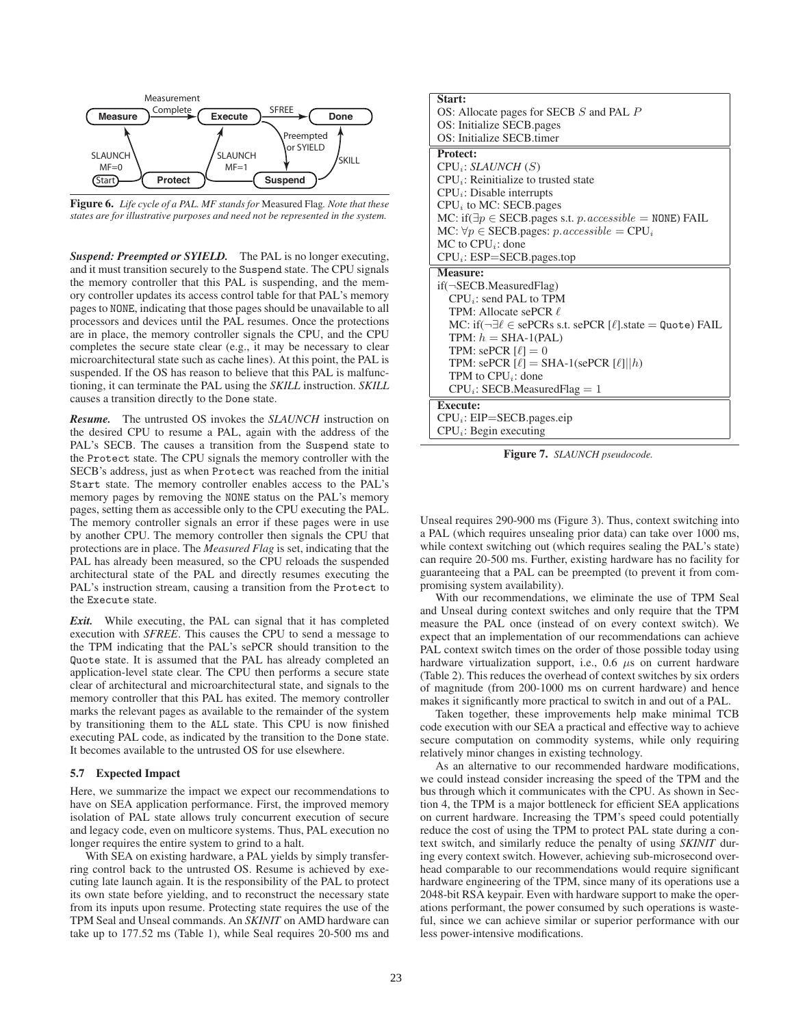

**Figure 6.** *Life cycle of a PAL. MF stands for* Measured Flag*. Note that these states are for illustrative purposes and need not be represented in the system.*

*Suspend: Preempted or SYIELD.* The PAL is no longer executing, and it must transition securely to the Suspend state. The CPU signals the memory controller that this PAL is suspending, and the memory controller updates its access control table for that PAL's memory pages to NONE, indicating that those pages should be unavailable to all processors and devices until the PAL resumes. Once the protections are in place, the memory controller signals the CPU, and the CPU completes the secure state clear (e.g., it may be necessary to clear microarchitectural state such as cache lines). At this point, the PAL is suspended. If the OS has reason to believe that this PAL is malfunctioning, it can terminate the PAL using the *SKILL* instruction. *SKILL* causes a transition directly to the Done state.

*Resume.* The untrusted OS invokes the *SLAUNCH* instruction on the desired CPU to resume a PAL, again with the address of the PAL's SECB. The causes a transition from the Suspend state to the Protect state. The CPU signals the memory controller with the SECB's address, just as when Protect was reached from the initial Start state. The memory controller enables access to the PAL's memory pages by removing the NONE status on the PAL's memory pages, setting them as accessible only to the CPU executing the PAL. The memory controller signals an error if these pages were in use by another CPU. The memory controller then signals the CPU that protections are in place. The *Measured Flag* is set, indicating that the PAL has already been measured, so the CPU reloads the suspended architectural state of the PAL and directly resumes executing the PAL's instruction stream, causing a transition from the Protect to the Execute state.

*Exit.* While executing, the PAL can signal that it has completed execution with *SFREE*. This causes the CPU to send a message to the TPM indicating that the PAL's sePCR should transition to the Quote state. It is assumed that the PAL has already completed an application-level state clear. The CPU then performs a secure state clear of architectural and microarchitectural state, and signals to the memory controller that this PAL has exited. The memory controller marks the relevant pages as available to the remainder of the system by transitioning them to the ALL state. This CPU is now finished executing PAL code, as indicated by the transition to the Done state. It becomes available to the untrusted OS for use elsewhere.

## **5.7 Expected Impact**

Here, we summarize the impact we expect our recommendations to have on SEA application performance. First, the improved memory isolation of PAL state allows truly concurrent execution of secure and legacy code, even on multicore systems. Thus, PAL execution no longer requires the entire system to grind to a halt.

With SEA on existing hardware, a PAL yields by simply transferring control back to the untrusted OS. Resume is achieved by executing late launch again. It is the responsibility of the PAL to protect its own state before yielding, and to reconstruct the necessary state from its inputs upon resume. Protecting state requires the use of the TPM Seal and Unseal commands. An *SKINIT* on AMD hardware can take up to 177.52 ms (Table 1), while Seal requires 20-500 ms and

| Start:                                                                                  |
|-----------------------------------------------------------------------------------------|
| OS: Allocate pages for SECB S and PAL P                                                 |
| OS: Initialize SECB.pages                                                               |
| OS: Initialize SECB.timer                                                               |
| Protect:                                                                                |
| $CPU_i: SLAUNCH(S)$                                                                     |
| $CPU: Reinitialize$ to trusted state                                                    |
| $CPU_i$ : Disable interrupts                                                            |
| $CPU_i$ to MC: SECB.pages                                                               |
| MC: if $(\exists p \in SECB$ pages s.t. p. accessible = NONE) FAIL                      |
| $MC: \forall p \in SECB.pages: p. accessible = CPU_i$                                   |
| $MC$ to $CPU_i$ : done                                                                  |
| $CPU_i$ : $ESP = SECB.png$                                                              |
| Measure:                                                                                |
|                                                                                         |
| $if(\neg SECB.MeasuredFlag)$                                                            |
| $CPU_i$ : send PAL to TPM                                                               |
| TPM: Allocate sePCR $\ell$                                                              |
| MC: if $\lnot \exists \ell \in \text{sePCRs s.t. sePCR}$ [ $\ell$ ].state = Quote) FAIL |
| TPM: $h = SHA-1(PAL)$                                                                   |
| TPM: sePCR $\lbrack \ell \rbrack = 0$                                                   |
| TPM: sePCR $[\ell] = SHA-1$ (sePCR $[\ell]   h$ )                                       |
| TPM to $CPU_i$ : done                                                                   |
| $CPU_i$ : SECB.MeasuredFlag = 1                                                         |
| <b>Execute:</b>                                                                         |
| $CPU_i$ : EIP=SECB.pages.eip                                                            |

**Figure 7.** *SLAUNCH pseudocode.*

Unseal requires 290-900 ms (Figure 3). Thus, context switching into a PAL (which requires unsealing prior data) can take over 1000 ms, while context switching out (which requires sealing the PAL's state) can require 20-500 ms. Further, existing hardware has no facility for guaranteeing that a PAL can be preempted (to prevent it from compromising system availability).

With our recommendations, we eliminate the use of TPM Seal and Unseal during context switches and only require that the TPM measure the PAL once (instead of on every context switch). We expect that an implementation of our recommendations can achieve PAL context switch times on the order of those possible today using hardware virtualization support, i.e.,  $0.6 \mu s$  on current hardware (Table 2). This reduces the overhead of context switches by six orders of magnitude (from 200-1000 ms on current hardware) and hence makes it significantly more practical to switch in and out of a PAL.

Taken together, these improvements help make minimal TCB code execution with our SEA a practical and effective way to achieve secure computation on commodity systems, while only requiring relatively minor changes in existing technology.

As an alternative to our recommended hardware modifications, we could instead consider increasing the speed of the TPM and the bus through which it communicates with the CPU. As shown in Section 4, the TPM is a major bottleneck for efficient SEA applications on current hardware. Increasing the TPM's speed could potentially reduce the cost of using the TPM to protect PAL state during a context switch, and similarly reduce the penalty of using *SKINIT* during every context switch. However, achieving sub-microsecond overhead comparable to our recommendations would require significant hardware engineering of the TPM, since many of its operations use a 2048-bit RSA keypair. Even with hardware support to make the operations performant, the power consumed by such operations is wasteful, since we can achieve similar or superior performance with our less power-intensive modifications.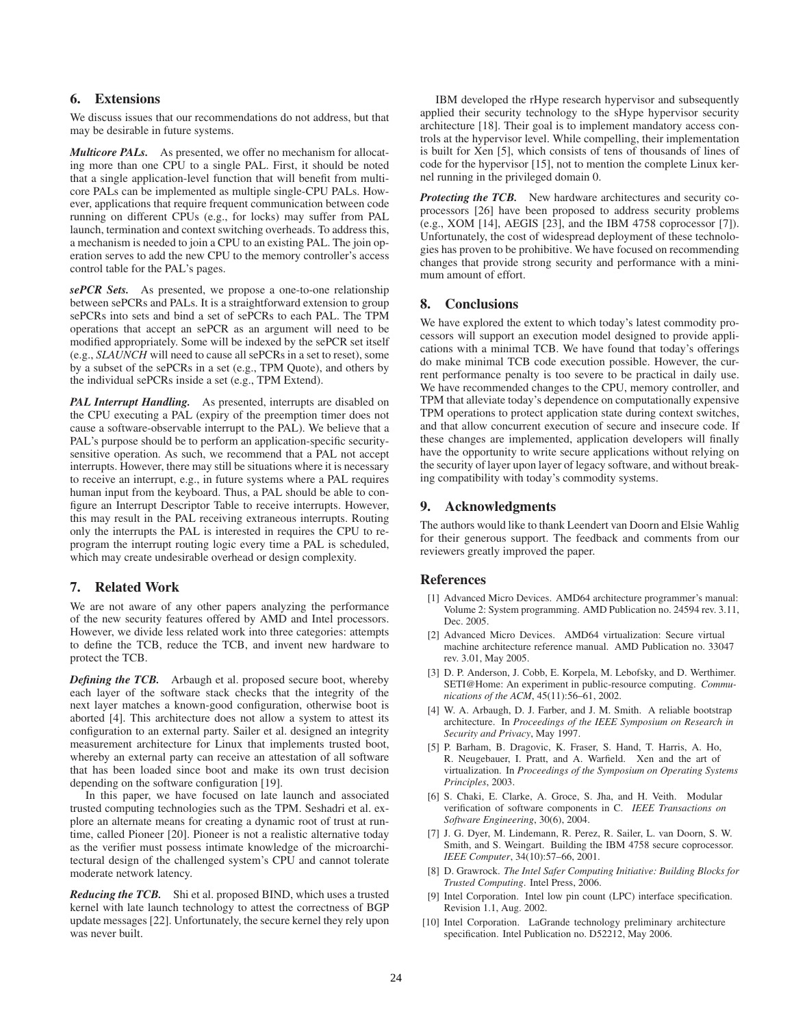# **6. Extensions**

We discuss issues that our recommendations do not address, but that may be desirable in future systems.

*Multicore PALs.* As presented, we offer no mechanism for allocating more than one CPU to a single PAL. First, it should be noted that a single application-level function that will benefit from multicore PALs can be implemented as multiple single-CPU PALs. However, applications that require frequent communication between code running on different CPUs (e.g., for locks) may suffer from PAL launch, termination and context switching overheads. To address this, a mechanism is needed to join a CPU to an existing PAL. The join operation serves to add the new CPU to the memory controller's access control table for the PAL's pages.

*sePCR Sets.* As presented, we propose a one-to-one relationship between sePCRs and PALs. It is a straightforward extension to group sePCRs into sets and bind a set of sePCRs to each PAL. The TPM operations that accept an sePCR as an argument will need to be modified appropriately. Some will be indexed by the sePCR set itself (e.g., *SLAUNCH* will need to cause all sePCRs in a set to reset), some by a subset of the sePCRs in a set (e.g., TPM Quote), and others by the individual sePCRs inside a set (e.g., TPM Extend).

*PAL Interrupt Handling.* As presented, interrupts are disabled on the CPU executing a PAL (expiry of the preemption timer does not cause a software-observable interrupt to the PAL). We believe that a PAL's purpose should be to perform an application-specific securitysensitive operation. As such, we recommend that a PAL not accept interrupts. However, there may still be situations where it is necessary to receive an interrupt, e.g., in future systems where a PAL requires human input from the keyboard. Thus, a PAL should be able to configure an Interrupt Descriptor Table to receive interrupts. However, this may result in the PAL receiving extraneous interrupts. Routing only the interrupts the PAL is interested in requires the CPU to reprogram the interrupt routing logic every time a PAL is scheduled, which may create undesirable overhead or design complexity.

# **7. Related Work**

We are not aware of any other papers analyzing the performance of the new security features offered by AMD and Intel processors. However, we divide less related work into three categories: attempts to define the TCB, reduce the TCB, and invent new hardware to protect the TCB.

**Defining the TCB.** Arbaugh et al. proposed secure boot, whereby each layer of the software stack checks that the integrity of the next layer matches a known-good configuration, otherwise boot is aborted [4]. This architecture does not allow a system to attest its configuration to an external party. Sailer et al. designed an integrity measurement architecture for Linux that implements trusted boot, whereby an external party can receive an attestation of all software that has been loaded since boot and make its own trust decision depending on the software configuration [19].

In this paper, we have focused on late launch and associated trusted computing technologies such as the TPM. Seshadri et al. explore an alternate means for creating a dynamic root of trust at runtime, called Pioneer [20]. Pioneer is not a realistic alternative today as the verifier must possess intimate knowledge of the microarchitectural design of the challenged system's CPU and cannot tolerate moderate network latency.

*Reducing the TCB.* Shi et al. proposed BIND, which uses a trusted kernel with late launch technology to attest the correctness of BGP update messages [22]. Unfortunately, the secure kernel they rely upon was never built.

IBM developed the rHype research hypervisor and subsequently applied their security technology to the sHype hypervisor security architecture [18]. Their goal is to implement mandatory access controls at the hypervisor level. While compelling, their implementation is built for Xen [5], which consists of tens of thousands of lines of code for the hypervisor [15], not to mention the complete Linux kernel running in the privileged domain 0.

*Protecting the TCB.* New hardware architectures and security coprocessors [26] have been proposed to address security problems (e.g., XOM [14], AEGIS [23], and the IBM 4758 coprocessor [7]). Unfortunately, the cost of widespread deployment of these technologies has proven to be prohibitive. We have focused on recommending changes that provide strong security and performance with a minimum amount of effort.

## **8. Conclusions**

We have explored the extent to which today's latest commodity processors will support an execution model designed to provide applications with a minimal TCB. We have found that today's offerings do make minimal TCB code execution possible. However, the current performance penalty is too severe to be practical in daily use. We have recommended changes to the CPU, memory controller, and TPM that alleviate today's dependence on computationally expensive TPM operations to protect application state during context switches, and that allow concurrent execution of secure and insecure code. If these changes are implemented, application developers will finally have the opportunity to write secure applications without relying on the security of layer upon layer of legacy software, and without breaking compatibility with today's commodity systems.

# **9. Acknowledgments**

The authors would like to thank Leendert van Doorn and Elsie Wahlig for their generous support. The feedback and comments from our reviewers greatly improved the paper.

## **References**

- [1] Advanced Micro Devices. AMD64 architecture programmer's manual: Volume 2: System programming. AMD Publication no. 24594 rev. 3.11, Dec. 2005.
- [2] Advanced Micro Devices. AMD64 virtualization: Secure virtual machine architecture reference manual. AMD Publication no. 33047 rev. 3.01, May 2005.
- [3] D. P. Anderson, J. Cobb, E. Korpela, M. Lebofsky, and D. Werthimer. SETI@Home: An experiment in public-resource computing. *Communications of the ACM*, 45(11):56–61, 2002.
- [4] W. A. Arbaugh, D. J. Farber, and J. M. Smith. A reliable bootstrap architecture. In *Proceedings of the IEEE Symposium on Research in Security and Privacy*, May 1997.
- [5] P. Barham, B. Dragovic, K. Fraser, S. Hand, T. Harris, A. Ho, R. Neugebauer, I. Pratt, and A. Warfield. Xen and the art of virtualization. In *Proceedings of the Symposium on Operating Systems Principles*, 2003.
- [6] S. Chaki, E. Clarke, A. Groce, S. Jha, and H. Veith. Modular verification of software components in C. *IEEE Transactions on Software Engineering*, 30(6), 2004.
- [7] J. G. Dyer, M. Lindemann, R. Perez, R. Sailer, L. van Doorn, S. W. Smith, and S. Weingart. Building the IBM 4758 secure coprocessor. *IEEE Computer*, 34(10):57–66, 2001.
- [8] D. Grawrock. *The Intel Safer Computing Initiative: Building Blocks for Trusted Computing*. Intel Press, 2006.
- [9] Intel Corporation. Intel low pin count (LPC) interface specification. Revision 1.1, Aug. 2002.
- [10] Intel Corporation. LaGrande technology preliminary architecture specification. Intel Publication no. D52212, May 2006.